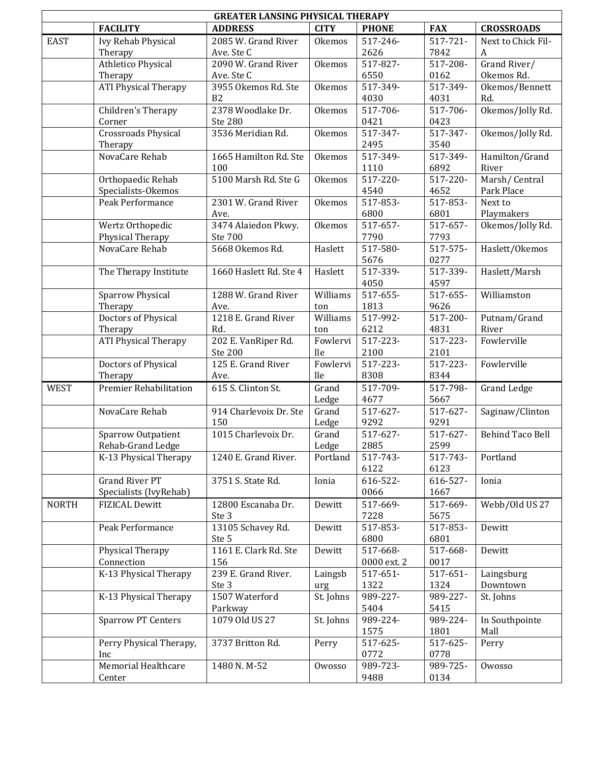| <b>GREATER LANSING PHYSICAL THERAPY</b> |                               |                             |                |                  |                  |                         |  |  |
|-----------------------------------------|-------------------------------|-----------------------------|----------------|------------------|------------------|-------------------------|--|--|
|                                         | <b>FACILITY</b>               | <b>ADDRESS</b>              | <b>CITY</b>    | <b>PHONE</b>     | <b>FAX</b>       | <b>CROSSROADS</b>       |  |  |
| <b>EAST</b>                             | Ivy Rehab Physical            | 2085 W. Grand River         | <b>Okemos</b>  | 517-246-         | $517 - 721 -$    | Next to Chick Fil-      |  |  |
|                                         | Therapy                       | Ave. Ste C                  |                | 2626             | 7842             | A                       |  |  |
|                                         | <b>Athletico Physical</b>     | 2090 W. Grand River         | Okemos         | 517-827-         | 517-208-         | Grand River/            |  |  |
|                                         | Therapy                       | Ave. Ste C                  |                | 6550             | 0162             | Okemos Rd.              |  |  |
|                                         | <b>ATI Physical Therapy</b>   | 3955 Okemos Rd. Ste         | Okemos         | 517-349-         | 517-349-         | Okemos/Bennett          |  |  |
|                                         |                               | B2                          |                | 4030             | 4031             | Rd.                     |  |  |
|                                         | Children's Therapy            | 2378 Woodlake Dr.           | Okemos         | 517-706-         | 517-706-         | Okemos/Jolly Rd.        |  |  |
|                                         | Corner                        | <b>Ste 280</b>              |                | 0421             | 0423             |                         |  |  |
|                                         | Crossroads Physical           | 3536 Meridian Rd.           | Okemos         | 517-347-         | 517-347-         | Okemos/Jolly Rd.        |  |  |
|                                         | Therapy                       |                             |                | 2495             | 3540             |                         |  |  |
|                                         | NovaCare Rehab                | 1665 Hamilton Rd. Ste       | Okemos         | 517-349-         | 517-349-         | Hamilton/Grand          |  |  |
|                                         |                               | 100                         |                | 1110             | 6892             | River                   |  |  |
|                                         | Orthopaedic Rehab             | 5100 Marsh Rd. Ste G        | Okemos         | 517-220-         | 517-220-         | Marsh/Central           |  |  |
|                                         | Specialists-Okemos            |                             |                | 4540             | 4652             | Park Place              |  |  |
|                                         | Peak Performance              | 2301 W. Grand River         | Okemos         | 517-853-         | 517-853-         | Next to                 |  |  |
|                                         |                               | Ave.                        |                | 6800             | 6801             | Playmakers              |  |  |
|                                         | Wertz Orthopedic              | 3474 Alaiedon Pkwy.         | Okemos         | 517-657-         | 517-657-         | Okemos/Jolly Rd.        |  |  |
|                                         | Physical Therapy              | Ste 700                     |                | 7790             | 7793             |                         |  |  |
|                                         | NovaCare Rehab                | 5668 Okemos Rd.             | Haslett        | 517-580-         | 517-575-         | Haslett/Okemos          |  |  |
|                                         |                               |                             |                | 5676             | 0277             |                         |  |  |
|                                         | The Therapy Institute         | 1660 Haslett Rd. Ste 4      | Haslett        | 517-339-         | 517-339-         | Haslett/Marsh           |  |  |
|                                         |                               |                             |                | 4050             | 4597             |                         |  |  |
|                                         | <b>Sparrow Physical</b>       | 1288 W. Grand River         | Williams       | 517-655-         | 517-655-         | Williamston             |  |  |
|                                         | Therapy                       | Ave.                        | ton            | 1813             | 9626             |                         |  |  |
|                                         | Doctors of Physical           | 1218 E. Grand River         | Williams       | 517-992-         | 517-200-         | Putnam/Grand            |  |  |
|                                         | Therapy                       | Rd.                         | ton            | 6212             | 4831             | River                   |  |  |
|                                         | <b>ATI Physical Therapy</b>   | 202 E. VanRiper Rd.         | Fowlervi       | 517-223-         | 517-223-         | Fowlerville             |  |  |
|                                         |                               | <b>Ste 200</b>              | <sub>lle</sub> | 2100             | 2101             |                         |  |  |
|                                         | Doctors of Physical           | 125 E. Grand River          | Fowlervi       | 517-223-         | 517-223-         | Fowlerville             |  |  |
|                                         | Therapy                       | Ave.                        | lle            | 8308             | 8344             |                         |  |  |
| <b>WEST</b>                             | <b>Premier Rehabilitation</b> | 615 S. Clinton St.          | Grand          | 517-709-         | 517-798-         | <b>Grand Ledge</b>      |  |  |
|                                         |                               |                             | Ledge          | 4677             | 5667             |                         |  |  |
|                                         | NovaCare Rehab                | 914 Charlevoix Dr. Ste      | Grand          | $517-627-$       | 517-627-         | Saginaw/Clinton         |  |  |
|                                         |                               | 150                         | Ledge          | 9292             | 9291             |                         |  |  |
|                                         | <b>Sparrow Outpatient</b>     | 1015 Charlevoix Dr.         | Grand          | 517-627-         | 517-627-         | <b>Behind Taco Bell</b> |  |  |
|                                         | Rehab-Grand Ledge             |                             | Ledge          | 2885             | 2599             |                         |  |  |
|                                         | K-13 Physical Therapy         | 1240 E. Grand River.        | Portland       | 517-743-         | 517-743-         | Portland                |  |  |
|                                         | <b>Grand River PT</b>         |                             |                | 6122<br>616-522- | 6123<br>616-527- | Ionia                   |  |  |
|                                         | Specialists (IvyRehab)        | 3751 S. State Rd.           | Ionia          | 0066             | 1667             |                         |  |  |
|                                         |                               |                             |                |                  |                  |                         |  |  |
| <b>NORTH</b>                            | <b>FIZICAL Dewitt</b>         | 12800 Escanaba Dr.<br>Ste 3 | Dewitt         | 517-669-<br>7228 | 517-669-         | Webb/Old US 27          |  |  |
|                                         | Peak Performance              | 13105 Schavey Rd.           | Dewitt         | 517-853-         | 5675<br>517-853- | Dewitt                  |  |  |
|                                         |                               | Ste 5                       |                | 6800             | 6801             |                         |  |  |
|                                         | Physical Therapy              | 1161 E. Clark Rd. Ste       | Dewitt         | 517-668-         | 517-668-         | Dewitt                  |  |  |
|                                         | Connection                    | 156                         |                | 0000 ext. 2      | 0017             |                         |  |  |
|                                         | K-13 Physical Therapy         | 239 E. Grand River.         | Laingsb        | 517-651-         | 517-651-         | Laingsburg              |  |  |
|                                         |                               | Ste 3                       | urg            | 1322             | 1324             | Downtown                |  |  |
|                                         | K-13 Physical Therapy         | 1507 Waterford              | St. Johns      | 989-227-         | 989-227-         | St. Johns               |  |  |
|                                         |                               | Parkway                     |                | 5404             | 5415             |                         |  |  |
|                                         | <b>Sparrow PT Centers</b>     | 1079 Old US 27              | St. Johns      | 989-224-         | 989-224-         | In Southpointe          |  |  |
|                                         |                               |                             |                | 1575             | 1801             | Mall                    |  |  |
|                                         | Perry Physical Therapy,       | 3737 Britton Rd.            | Perry          | 517-625-         | 517-625-         | Perry                   |  |  |
|                                         | Inc                           |                             |                | 0772             | 0778             |                         |  |  |
|                                         | <b>Memorial Healthcare</b>    | 1480 N.M-52                 | Owosso         | 989-723-         | 989-725-         | Owosso                  |  |  |
|                                         | Center                        |                             |                | 9488             | 0134             |                         |  |  |
|                                         |                               |                             |                |                  |                  |                         |  |  |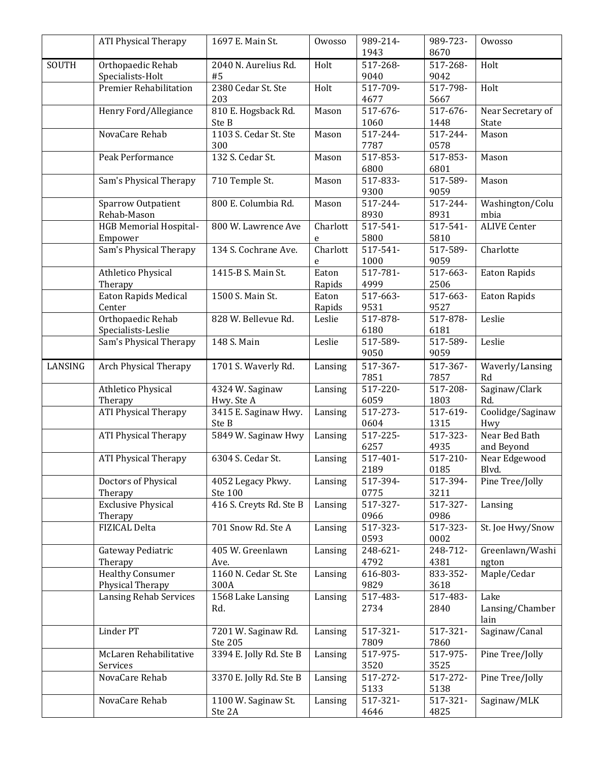|         | <b>ATI Physical Therapy</b>   | 1697 E. Main St.         | Owosso        | 989-214-         | 989-723-         | Owosso              |
|---------|-------------------------------|--------------------------|---------------|------------------|------------------|---------------------|
|         |                               |                          |               | 1943             | 8670             |                     |
| SOUTH   | Orthopaedic Rehab             | 2040 N. Aurelius Rd.     | Holt          | 517-268-         | 517-268-         | Holt                |
|         | Specialists-Holt              | #5                       |               | 9040             | 9042             |                     |
|         | Premier Rehabilitation        | 2380 Cedar St. Ste       | Holt          | 517-709-         | 517-798-         | Holt                |
|         |                               | 203                      |               | 4677             | 5667             |                     |
|         | Henry Ford/Allegiance         | 810 E. Hogsback Rd.      | Mason         | 517-676-         | 517-676-         | Near Secretary of   |
|         |                               | Ste B                    |               | 1060             | 1448             | State               |
|         | NovaCare Rehab                | 1103 S. Cedar St. Ste    | Mason         | 517-244-         | 517-244-         | Mason               |
|         |                               | 300                      |               | 7787             | 0578             |                     |
|         | Peak Performance              | 132 S. Cedar St.         | Mason         | 517-853-         | 517-853-         | Mason               |
|         |                               |                          |               | 6800             | 6801             |                     |
|         | Sam's Physical Therapy        | 710 Temple St.           | Mason         | 517-833-         | 517-589-         | Mason               |
|         |                               |                          |               | 9300             | 9059             |                     |
|         | Sparrow Outpatient            | 800 E. Columbia Rd.      | Mason         | 517-244-         | 517-244-         | Washington/Colu     |
|         | Rehab-Mason                   |                          |               | 8930<br>517-541- | 8931             | mbia                |
|         | <b>HGB Memorial Hospital-</b> | 800 W. Lawrence Ave      | Charlott      |                  | 517-541-         | <b>ALIVE Center</b> |
|         | Empower                       |                          | e<br>Charlott | 5800<br>517-541- | 5810<br>517-589- |                     |
|         | Sam's Physical Therapy        | 134 S. Cochrane Ave.     |               | 1000             | 9059             | Charlotte           |
|         | Athletico Physical            | 1415-B S. Main St.       | e<br>Eaton    | 517-781-         | 517-663-         | <b>Eaton Rapids</b> |
|         | Therapy                       |                          | Rapids        | 4999             | 2506             |                     |
|         | Eaton Rapids Medical          | 1500 S. Main St.         | Eaton         | 517-663-         | 517-663-         | <b>Eaton Rapids</b> |
|         | Center                        |                          | Rapids        | 9531             | 9527             |                     |
|         | Orthopaedic Rehab             | 828 W. Bellevue Rd.      | Leslie        | 517-878-         | 517-878-         | Leslie              |
|         | Specialists-Leslie            |                          |               | 6180             | 6181             |                     |
|         | Sam's Physical Therapy        | 148 S. Main              | Leslie        | 517-589-         | 517-589-         | Leslie              |
|         |                               |                          |               | 9050             | 9059             |                     |
| LANSING | Arch Physical Therapy         | 1701 S. Waverly Rd.      | Lansing       | 517-367-         | 517-367-         | Waverly/Lansing     |
|         |                               |                          |               | 7851             | 7857             | Rd                  |
|         | Athletico Physical            | 4324 W. Saginaw          | Lansing       | 517-220-         | 517-208-         | Saginaw/Clark       |
|         | Therapy                       | Hwy. Ste A               |               | 6059             | 1803             | Rd.                 |
|         | <b>ATI Physical Therapy</b>   | 3415 E. Saginaw Hwy.     | Lansing       | 517-273-         | 517-619-         | Coolidge/Saginaw    |
|         |                               | Ste B                    |               | 0604             | 1315             | Hwy                 |
|         | <b>ATI Physical Therapy</b>   | 5849 W. Saginaw Hwy      | Lansing       | 517-225-         | 517-323-         | Near Bed Bath       |
|         |                               |                          |               | 6257             | 4935             | and Beyond          |
|         | <b>ATI Physical Therapy</b>   | 6304 S. Cedar St.        | Lansing       | 517-401-         | 517-210-         | Near Edgewood       |
|         |                               |                          |               | 2189             | 0185             | Blvd.               |
|         | Doctors of Physical           | 4052 Legacy Pkwy.        | Lansing       | 517-394-         | 517-394-         | Pine Tree/Jolly     |
|         | Therapy                       | Ste 100                  |               | 0775             | 3211             |                     |
|         | <b>Exclusive Physical</b>     | 416 S. Creyts Rd. Ste B  | Lansing       | 517-327-         | 517-327-         | Lansing             |
|         | Therapy                       |                          |               | 0966             | 0986             |                     |
|         | FIZICAL Delta                 | 701 Snow Rd. Ste A       | Lansing       | 517-323-         | 517-323-         | St. Joe Hwy/Snow    |
|         |                               |                          |               | 0593             | 0002             |                     |
|         | Gateway Pediatric             | 405 W. Greenlawn         | Lansing       | 248-621-         | 248-712-         | Greenlawn/Washi     |
|         | Therapy                       | Ave.                     |               | 4792             | 4381             | ngton               |
|         | <b>Healthy Consumer</b>       | 1160 N. Cedar St. Ste    | Lansing       | 616-803-         | 833-352-         | Maple/Cedar         |
|         | Physical Therapy              | 300A                     |               | 9829<br>517-483- | 3618             | Lake                |
|         | <b>Lansing Rehab Services</b> | 1568 Lake Lansing<br>Rd. | Lansing       | 2734             | 517-483-<br>2840 | Lansing/Chamber     |
|         |                               |                          |               |                  |                  | lain                |
|         | Linder PT                     | 7201 W. Saginaw Rd.      | Lansing       | 517-321-         | 517-321-         | Saginaw/Canal       |
|         |                               | Ste 205                  |               | 7809             | 7860             |                     |
|         | McLaren Rehabilitative        | 3394 E. Jolly Rd. Ste B  | Lansing       | 517-975-         | 517-975-         | Pine Tree/Jolly     |
|         | Services                      |                          |               | 3520             | 3525             |                     |
|         | NovaCare Rehab                | 3370 E. Jolly Rd. Ste B  | Lansing       | 517-272-         | 517-272-         | Pine Tree/Jolly     |
|         |                               |                          |               | 5133             | 5138             |                     |
|         | NovaCare Rehab                | 1100 W. Saginaw St.      | Lansing       | 517-321-         | 517-321-         | Saginaw/MLK         |
|         |                               | Ste 2A                   |               | 4646             | 4825             |                     |